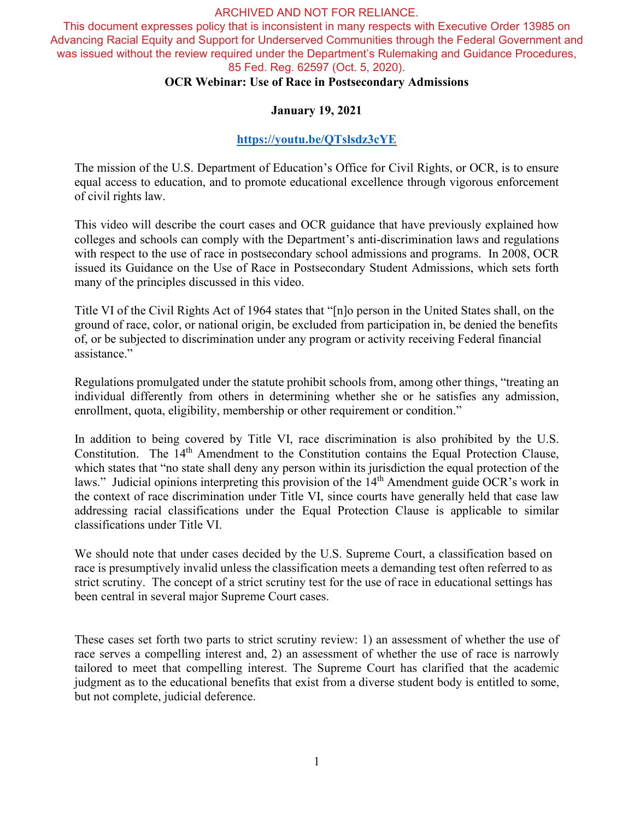This document expresses policy that is inconsistent in many respects with Executive Order 13985 on Advancing Racial Equity and Support for Underserved Communities through the Federal Government and was issued without the review required under the Department's Rulemaking and Guidance Procedures, 85 Fed. Reg. 62597 (Oct. 5, 2020).

# **OCR Webinar: Use of Race in Postsecondary Admissions**

## **January 19, 2021**

# **<https://youtu.be/QTslsdz3cYE>**

The mission of the U.S. Department of Education's Office for Civil Rights, or OCR, is to ensure equal access to education, and to promote educational excellence through vigorous enforcement of civil rights law.

This video will describe the court cases and OCR guidance that have previously explained how colleges and schools can comply with the Department's anti-discrimination laws and regulations with respect to the use of race in postsecondary school admissions and programs. In 2008, OCR issued its Guidance on the Use of Race in Postsecondary Student Admissions, which sets forth many of the principles discussed in this video.

Title VI of the Civil Rights Act of 1964 states that "[n]o person in the United States shall, on the ground of race, color, or national origin, be excluded from participation in, be denied the benefits of, or be subjected to discrimination under any program or activity receiving Federal financial assistance."

Regulations promulgated under the statute prohibit schools from, among other things, "treating an individual differently from others in determining whether she or he satisfies any admission, enrollment, quota, eligibility, membership or other requirement or condition."

In addition to being covered by Title VI, race discrimination is also prohibited by the U.S. Constitution. The 14<sup>th</sup> Amendment to the Constitution contains the Equal Protection Clause, which states that "no state shall deny any person within its jurisdiction the equal protection of the laws." Judicial opinions interpreting this provision of the 14<sup>th</sup> Amendment guide OCR's work in the context of race discrimination under Title VI, since courts have generally held that case law addressing racial classifications under the Equal Protection Clause is applicable to similar classifications under Title VI.

We should note that under cases decided by the U.S. Supreme Court, a classification based on race is presumptively invalid unless the classification meets a demanding test often referred to as strict scrutiny. The concept of a strict scrutiny test for the use of race in educational settings has been central in several major Supreme Court cases.

These cases set forth two parts to strict scrutiny review: 1) an assessment of whether the use of race serves a compelling interest and, 2) an assessment of whether the use of race is narrowly tailored to meet that compelling interest. The Supreme Court has clarified that the academic judgment as to the educational benefits that exist from a diverse student body is entitled to some, but not complete, judicial deference.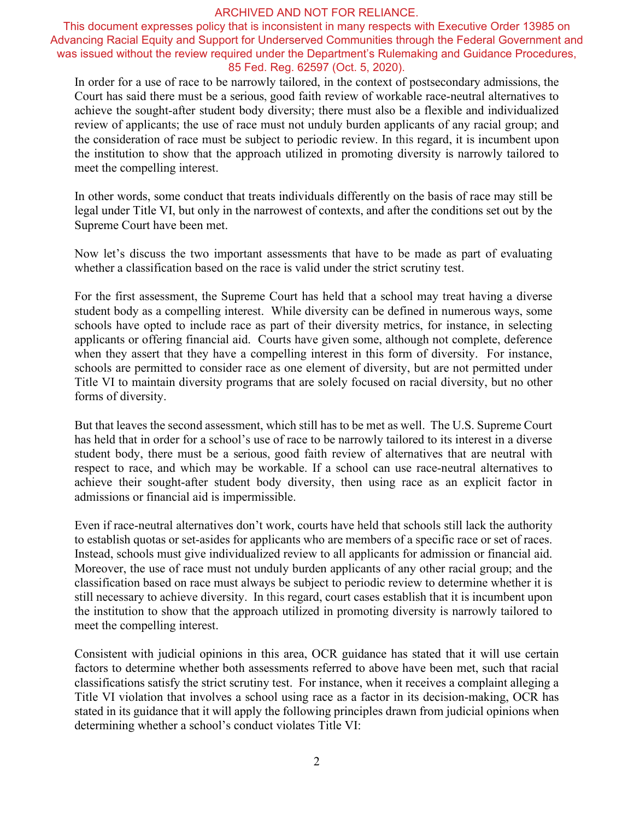This document expresses policy that is inconsistent in many respects with Executive Order 13985 on Advancing Racial Equity and Support for Underserved Communities through the Federal Government and was issued without the review required under the Department's Rulemaking and Guidance Procedures, 85 Fed. Reg. 62597 (Oct. 5, 2020).

In order for a use of race to be narrowly tailored, in the context of postsecondary admissions, the Court has said there must be a serious, good faith review of workable race-neutral alternatives to achieve the sought-after student body diversity; there must also be a flexible and individualized review of applicants; the use of race must not unduly burden applicants of any racial group; and the consideration of race must be subject to periodic review. In this regard, it is incumbent upon the institution to show that the approach utilized in promoting diversity is narrowly tailored to meet the compelling interest.

In other words, some conduct that treats individuals differently on the basis of race may still be legal under Title VI, but only in the narrowest of contexts, and after the conditions set out by the Supreme Court have been met.

Now let's discuss the two important assessments that have to be made as part of evaluating whether a classification based on the race is valid under the strict scrutiny test.

For the first assessment, the Supreme Court has held that a school may treat having a diverse student body as a compelling interest. While diversity can be defined in numerous ways, some schools have opted to include race as part of their diversity metrics, for instance, in selecting applicants or offering financial aid. Courts have given some, although not complete, deference when they assert that they have a compelling interest in this form of diversity. For instance, schools are permitted to consider race as one element of diversity, but are not permitted under Title VI to maintain diversity programs that are solely focused on racial diversity, but no other forms of diversity.

But that leaves the second assessment, which still has to be met as well. The U.S. Supreme Court has held that in order for a school's use of race to be narrowly tailored to its interest in a diverse student body, there must be a serious, good faith review of alternatives that are neutral with respect to race, and which may be workable. If a school can use race-neutral alternatives to achieve their sought-after student body diversity, then using race as an explicit factor in admissions or financial aid is impermissible.

Even if race-neutral alternatives don't work, courts have held that schools still lack the authority to establish quotas or set-asides for applicants who are members of a specific race or set of races. Instead, schools must give individualized review to all applicants for admission or financial aid. Moreover, the use of race must not unduly burden applicants of any other racial group; and the classification based on race must always be subject to periodic review to determine whether it is still necessary to achieve diversity. In this regard, court cases establish that it is incumbent upon the institution to show that the approach utilized in promoting diversity is narrowly tailored to meet the compelling interest.

Consistent with judicial opinions in this area, OCR guidance has stated that it will use certain factors to determine whether both assessments referred to above have been met, such that racial classifications satisfy the strict scrutiny test. For instance, when it receives a complaint alleging a Title VI violation that involves a school using race as a factor in its decision-making, OCR has stated in its guidance that it will apply the following principles drawn from judicial opinions when determining whether a school's conduct violates Title VI: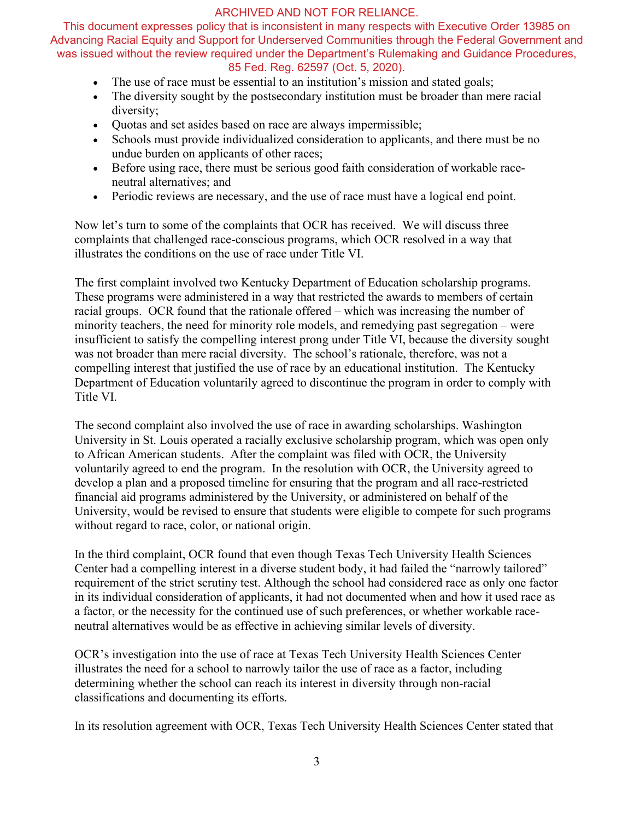This document expresses policy that is inconsistent in many respects with Executive Order 13985 on Advancing Racial Equity and Support for Underserved Communities through the Federal Government and was issued without the review required under the Department's Rulemaking and Guidance Procedures, 85 Fed. Reg. 62597 (Oct. 5, 2020).

- The use of race must be essential to an institution's mission and stated goals;
- The diversity sought by the postsecondary institution must be broader than mere racial diversity;
- Quotas and set asides based on race are always impermissible;
- Schools must provide individualized consideration to applicants, and there must be no undue burden on applicants of other races;
- Before using race, there must be serious good faith consideration of workable raceneutral alternatives; and
- Periodic reviews are necessary, and the use of race must have a logical end point.

Now let's turn to some of the complaints that OCR has received. We will discuss three complaints that challenged race-conscious programs, which OCR resolved in a way that illustrates the conditions on the use of race under Title VI.

The first complaint involved two Kentucky Department of Education scholarship programs. These programs were administered in a way that restricted the awards to members of certain racial groups. OCR found that the rationale offered – which was increasing the number of minority teachers, the need for minority role models, and remedying past segregation – were insufficient to satisfy the compelling interest prong under Title VI, because the diversity sought was not broader than mere racial diversity. The school's rationale, therefore, was not a compelling interest that justified the use of race by an educational institution. The Kentucky Department of Education voluntarily agreed to discontinue the program in order to comply with Title VI.

The second complaint also involved the use of race in awarding scholarships. Washington University in St. Louis operated a racially exclusive scholarship program, which was open only to African American students. After the complaint was filed with OCR, the University voluntarily agreed to end the program. In the resolution with OCR, the University agreed to develop a plan and a proposed timeline for ensuring that the program and all race-restricted financial aid programs administered by the University, or administered on behalf of the University, would be revised to ensure that students were eligible to compete for such programs without regard to race, color, or national origin.

In the third complaint, OCR found that even though Texas Tech University Health Sciences Center had a compelling interest in a diverse student body, it had failed the "narrowly tailored" requirement of the strict scrutiny test. Although the school had considered race as only one factor in its individual consideration of applicants, it had not documented when and how it used race as a factor, or the necessity for the continued use of such preferences, or whether workable raceneutral alternatives would be as effective in achieving similar levels of diversity.

OCR's investigation into the use of race at Texas Tech University Health Sciences Center illustrates the need for a school to narrowly tailor the use of race as a factor, including determining whether the school can reach its interest in diversity through non-racial classifications and documenting its efforts.

In its resolution agreement with OCR, Texas Tech University Health Sciences Center stated that